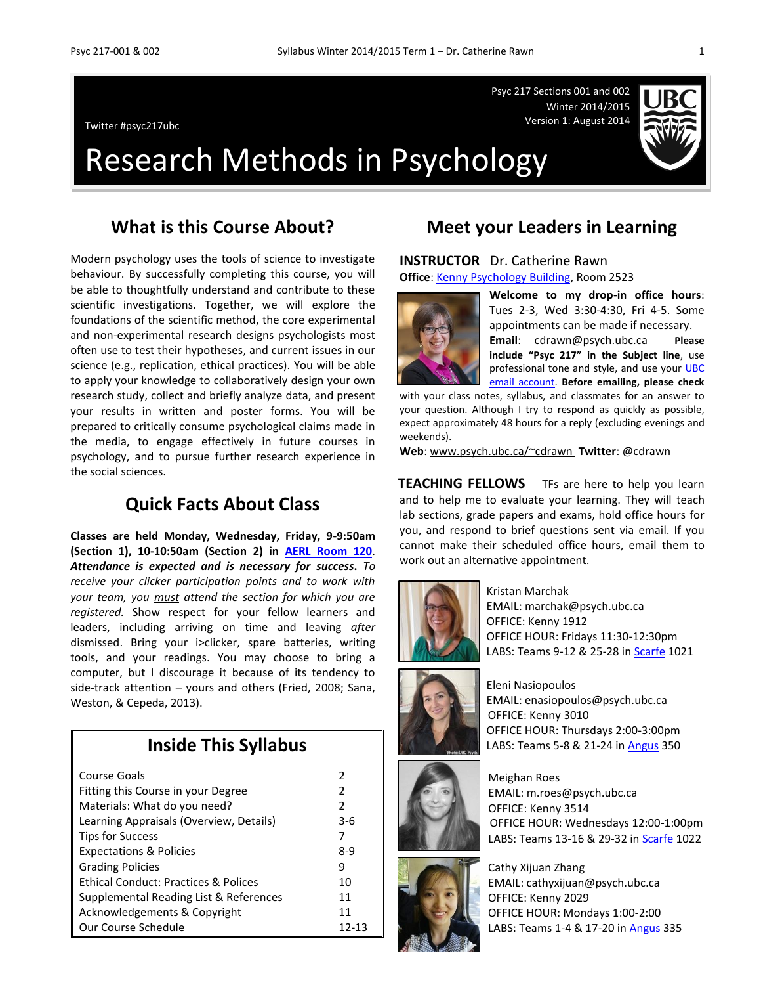Psyc 217 Sections 001 and 002 Winter 2014/2015



Version 1: August 2014 Twitter #psyc217ubc

# Research Methods in Psychology

### **What is this Course About?**

Modern psychology uses the tools of science to investigate behaviour. By successfully completing this course, you will be able to thoughtfully understand and contribute to these scientific investigations. Together, we will explore the foundations of the scientific method, the core experimental and non-experimental research designs psychologists most often use to test their hypotheses, and current issues in our science (e.g., replication, ethical practices). You will be able to apply your knowledge to collaboratively design your own research study, collect and briefly analyze data, and present your results in written and poster forms. You will be prepared to critically consume psychological claims made in the media, to engage effectively in future courses in psychology, and to pursue further research experience in the social sciences.

### **Quick Facts About Class**

**Classes are held Monday, Wednesday, Friday, 9-9:50am (Section 1), 10-10:50am (Section 2) in [AERL Room 120](http://www.maps.ubc.ca/PROD/index_detail.php?locat1=316)**. *Attendance is expected and is necessary for success***.** *To receive your clicker participation points and to work with your team, you must attend the section for which you are registered.* Show respect for your fellow learners and leaders, including arriving on time and leaving *after* dismissed. Bring your i>clicker, spare batteries, writing tools, and your readings. You may choose to bring a computer, but I discourage it because of its tendency to side-track attention – yours and others (Fried, 2008; Sana, Weston, & Cepeda, 2013).

### **Inside This Syllabus**

| Course Goals                                    | 2             |
|-------------------------------------------------|---------------|
| Fitting this Course in your Degree              | $\mathcal{P}$ |
| Materials: What do you need?                    | $\mathcal{P}$ |
| Learning Appraisals (Overview, Details)         | $3-6$         |
| <b>Tips for Success</b>                         | 7             |
| <b>Expectations &amp; Policies</b>              | $8-9$         |
| <b>Grading Policies</b>                         | 9             |
| <b>Ethical Conduct: Practices &amp; Polices</b> | 10            |
| Supplemental Reading List & References          | 11            |
| Acknowledgements & Copyright                    | 11            |
| Our Course Schedule                             | 12-13         |

### **Meet your Leaders in Learning**

### **INSTRUCTOR** Dr. Catherine Rawn

**Office**[: Kenny Psychology Building,](http://www.maps.ubc.ca/PROD/index_detail.php?locat1=732) Room 2523



**Welcome to my drop-in office hours**: Tues 2-3, Wed 3:30-4:30, Fri 4-5. Some appointments can be made if necessary. **Email**: cdrawn@psych.ubc.ca **Please include "Psyc 217" in the Subject line**, use professional tone and style, and use your UBC [email account.](http://it.ubc.ca/services/email-voice-internet/student-alumni-email-service) **Before emailing, please check**

with your class notes, syllabus, and classmates for an answer to your question. Although I try to respond as quickly as possible, expect approximately 48 hours for a reply (excluding evenings and weekends).

**Web**: [www.psych.ubc.ca/~cdrawn](http://www.psych.ubc.ca/~cdrawn) **Twitter**: @cdrawn

**TEACHING FELLOWS** TFs are here to help you learn and to help me to evaluate your learning. They will teach lab sections, grade papers and exams, hold office hours for you, and respond to brief questions sent via email. If you cannot make their scheduled office hours, email them to work out an alternative appointment.



Kristan Marchak EMAIL: marchak@psych.ubc.ca OFFICE: Kenny 1912 OFFICE HOUR: Fridays 11:30-12:30pm LABS: Teams 9-12 & 25-28 i[n Scarfe](http://www.maps.ubc.ca/PROD/index_detail.php?locat1=240-1) 1021



Eleni Nasiopoulos EMAIL: enasiopoulos@psych.ubc.ca OFFICE: Kenny 3010 OFFICE HOUR: Thursdays 2:00-3:00pm LABS: Teams 5-8 & 21-24 in **Angus** 350





Meighan Roes EMAIL: m.roes@psych.ubc.ca OFFICE: Kenny 3514 OFFICE HOUR: Wednesdays 12:00-1:00pm LABS: Teams 13-16 & 29-32 in [Scarfe](http://www.maps.ubc.ca/PROD/index_detail.php?locat1=240-1) 1022

Cathy Xijuan Zhang EMAIL: cathyxijuan@psych.ubc.ca OFFICE: Kenny 2029 OFFICE HOUR: Mondays 1:00-2:00 LABS: Teams 1-4 & 17-20 i[n Angus](http://www.maps.ubc.ca/PROD/index_detail.php?show=y,n,n,n,n,y&bldg2Search=n&locat1=023) 335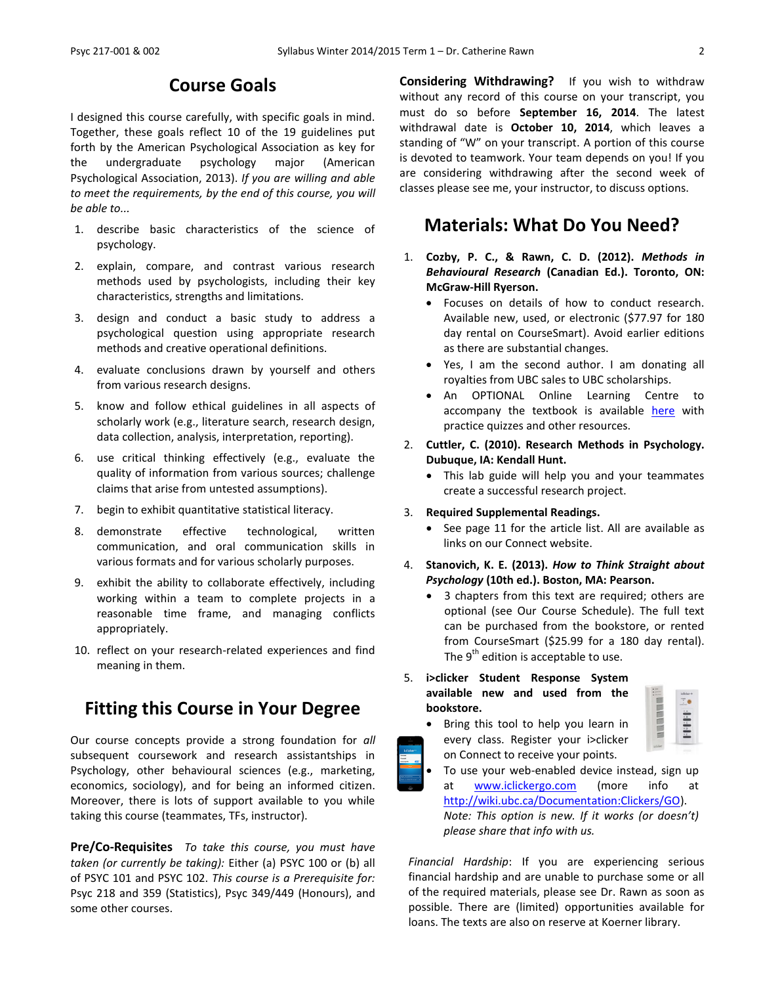### **Course Goals**

I designed this course carefully, with specific goals in mind. Together, these goals reflect 10 of the 19 guidelines put forth by the American Psychological Association as key for the undergraduate psychology major (American Psychological Association, 2013). *If you are willing and able to meet the requirements, by the end of this course, you will be able to...*

- 1. describe basic characteristics of the science of psychology.
- 2. explain, compare, and contrast various research methods used by psychologists, including their key characteristics, strengths and limitations.
- 3. design and conduct a basic study to address a psychological question using appropriate research methods and creative operational definitions.
- 4. evaluate conclusions drawn by yourself and others from various research designs.
- 5. know and follow ethical guidelines in all aspects of scholarly work (e.g., literature search, research design, data collection, analysis, interpretation, reporting).
- 6. use critical thinking effectively (e.g., evaluate the quality of information from various sources; challenge claims that arise from untested assumptions).
- 7. begin to exhibit quantitative statistical literacy.
- 8. demonstrate effective technological, written communication, and oral communication skills in various formats and for various scholarly purposes.
- 9. exhibit the ability to collaborate effectively, including working within a team to complete projects in a reasonable time frame, and managing conflicts appropriately.
- 10. reflect on your research-related experiences and find meaning in them.

### **Fitting this Course in Your Degree**

Our course concepts provide a strong foundation for *all* subsequent coursework and research assistantships in Psychology, other behavioural sciences (e.g., marketing, economics, sociology), and for being an informed citizen. Moreover, there is lots of support available to you while taking this course (teammates, TFs, instructor).

**Pre/Co-Requisites** *To take this course, you must have taken (or currently be taking):* Either (a) PSYC 100 or (b) all of PSYC 101 and PSYC 102. *This course is a Prerequisite for:*  Psyc 218 and 359 (Statistics), Psyc 349/449 (Honours), and some other courses.

**Considering Withdrawing?** If you wish to withdraw without any record of this course on your transcript, you must do so before **September 16, 2014**. The latest withdrawal date is **October 10, 2014**, which leaves a standing of "W" on your transcript. A portion of this course is devoted to teamwork. Your team depends on you! If you are considering withdrawing after the second week of classes please see me, your instructor, to discuss options.

### **Materials: What Do You Need?**

- 1. **Cozby, P. C., & Rawn, C. D. (2012).** *Methods in Behavioural Research* **(Canadian Ed.). Toronto, ON: McGraw-Hill Ryerson.**
	- Focuses on details of how to conduct research. Available new, used, or electronic (\$77.97 for 180 day rental on CourseSmart). Avoid earlier editions as there are substantial changes.
	- Yes, I am the second author. I am donating all royalties from UBC sales to UBC scholarships.
	- An OPTIONAL Online Learning Centre to accompany the textbook is available [here](http://highered.mheducation.com/sites/0071056734/student_view0/index.html) with practice quizzes and other resources.
- 2. **Cuttler, C. (2010). Research Methods in Psychology. Dubuque, IA: Kendall Hunt.**
	- This lab guide will help you and your teammates create a successful research project.
- 3. **Required Supplemental Readings.**
	- See page 11 for the article list. All are available as links on our Connect website.
- 4. **Stanovich, K. E. (2013).** *How to Think Straight about Psychology* **(10th ed.). Boston, MA: Pearson.**
	- 3 chapters from this text are required; others are optional (see Our Course Schedule). The full text can be purchased from the bookstore, or rented from CourseSmart (\$25.99 for a 180 day rental). The  $9^{th}$  edition is acceptable to use.
- 5. **i>clicker Student Response System available new and used from the bookstore.**





• Bring this tool to help you learn in every class. Register your i>clicker on Connect to receive your points.

 To use your web-enabled device instead, sign up at [www.iclickergo.com](http://www.iclickergo.com/) (more info at [http://wiki.ubc.ca/Documentation:Clickers/GO\)](http://wiki.ubc.ca/Documentation:Clickers/GO). *Note: This option is new. If it works (or doesn't) please share that info with us.* 

*Financial Hardship*: If you are experiencing serious financial hardship and are unable to purchase some or all of the required materials, please see Dr. Rawn as soon as possible. There are (limited) opportunities available for loans. The texts are also on reserve at Koerner library.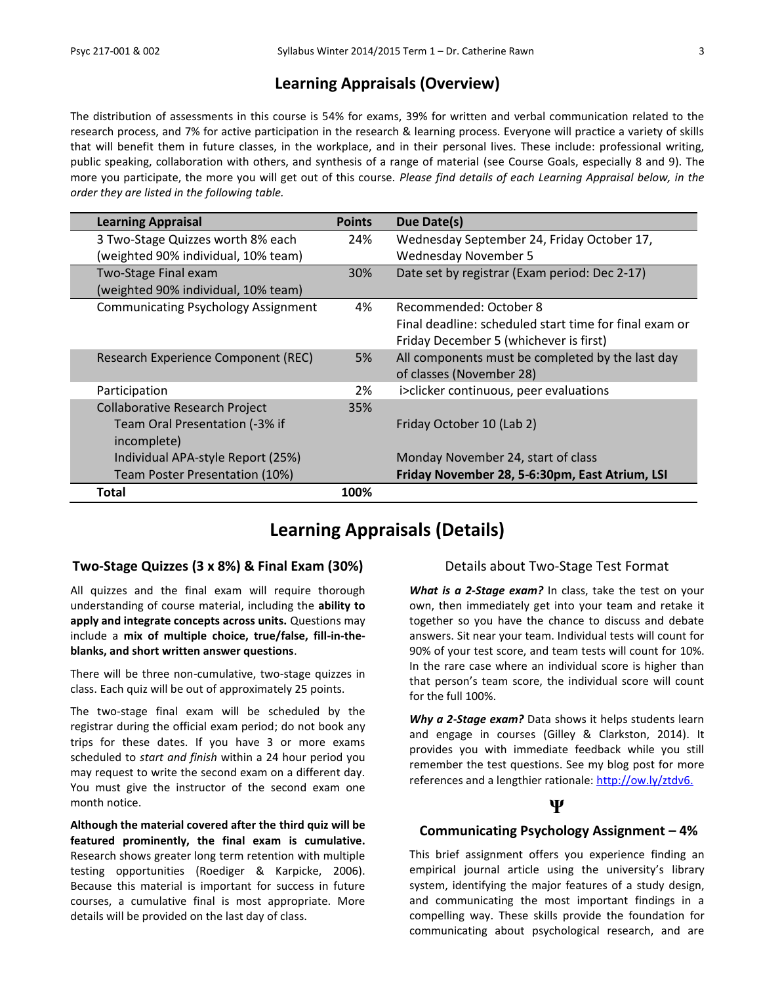### **Learning Appraisals (Overview)**

The distribution of assessments in this course is 54% for exams, 39% for written and verbal communication related to the research process, and 7% for active participation in the research & learning process. Everyone will practice a variety of skills that will benefit them in future classes, in the workplace, and in their personal lives. These include: professional writing, public speaking, collaboration with others, and synthesis of a range of material (see Course Goals, especially 8 and 9). The more you participate, the more you will get out of this course. *Please find details of each Learning Appraisal below, in the order they are listed in the following table.*

| <b>Learning Appraisal</b>                  | <b>Points</b> | Due Date(s)                                            |
|--------------------------------------------|---------------|--------------------------------------------------------|
| 3 Two-Stage Quizzes worth 8% each          | 24%           | Wednesday September 24, Friday October 17,             |
| (weighted 90% individual, 10% team)        |               | <b>Wednesday November 5</b>                            |
| Two-Stage Final exam                       | 30%           | Date set by registrar (Exam period: Dec 2-17)          |
| (weighted 90% individual, 10% team)        |               |                                                        |
| <b>Communicating Psychology Assignment</b> | 4%            | Recommended: October 8                                 |
|                                            |               | Final deadline: scheduled start time for final exam or |
|                                            |               | Friday December 5 (whichever is first)                 |
| Research Experience Component (REC)        | 5%            | All components must be completed by the last day       |
|                                            |               | of classes (November 28)                               |
| Participation                              | 2%            | i>clicker continuous, peer evaluations                 |
| <b>Collaborative Research Project</b>      | 35%           |                                                        |
| Team Oral Presentation (-3% if             |               | Friday October 10 (Lab 2)                              |
| incomplete)                                |               |                                                        |
| Individual APA-style Report (25%)          |               | Monday November 24, start of class                     |
| Team Poster Presentation (10%)             |               | Friday November 28, 5-6:30pm, East Atrium, LSI         |
| Total                                      | 100%          |                                                        |

### **Learning Appraisals (Details)**

#### **Two-Stage Quizzes (3 x 8%) & Final Exam (30%)**

All quizzes and the final exam will require thorough understanding of course material, including the **ability to apply and integrate concepts across units.** Questions may include a **mix of multiple choice, true/false, fill-in-theblanks, and short written answer questions**.

There will be three non-cumulative, two-stage quizzes in class. Each quiz will be out of approximately 25 points.

The two-stage final exam will be scheduled by the registrar during the official exam period; do not book any trips for these dates. If you have 3 or more exams scheduled to *start and finish* within a 24 hour period you may request to write the second exam on a different day. You must give the instructor of the second exam one month notice.

**Although the material covered after the third quiz will be featured prominently, the final exam is cumulative.** Research shows greater long term retention with multiple testing opportunities (Roediger & Karpicke, 2006). Because this material is important for success in future courses, a cumulative final is most appropriate. More details will be provided on the last day of class.

#### Details about Two-Stage Test Format

*What is a 2-Stage exam?* In class, take the test on your own, then immediately get into your team and retake it together so you have the chance to discuss and debate answers. Sit near your team. Individual tests will count for 90% of your test score, and team tests will count for 10%. In the rare case where an individual score is higher than that person's team score, the individual score will count for the full 100%.

*Why a 2-Stage exam?* Data shows it helps students learn and engage in courses (Gilley & Clarkston, 2014). It provides you with immediate feedback while you still remember the test questions. See my blog post for more references and a lengthier rationale: [http://ow.ly/ztdv6.](http://ow.ly/ztdv6)

#### **Ψ**

#### **Communicating Psychology Assignment – 4%**

This brief assignment offers you experience finding an empirical journal article using the university's library system, identifying the major features of a study design, and communicating the most important findings in a compelling way. These skills provide the foundation for communicating about psychological research, and are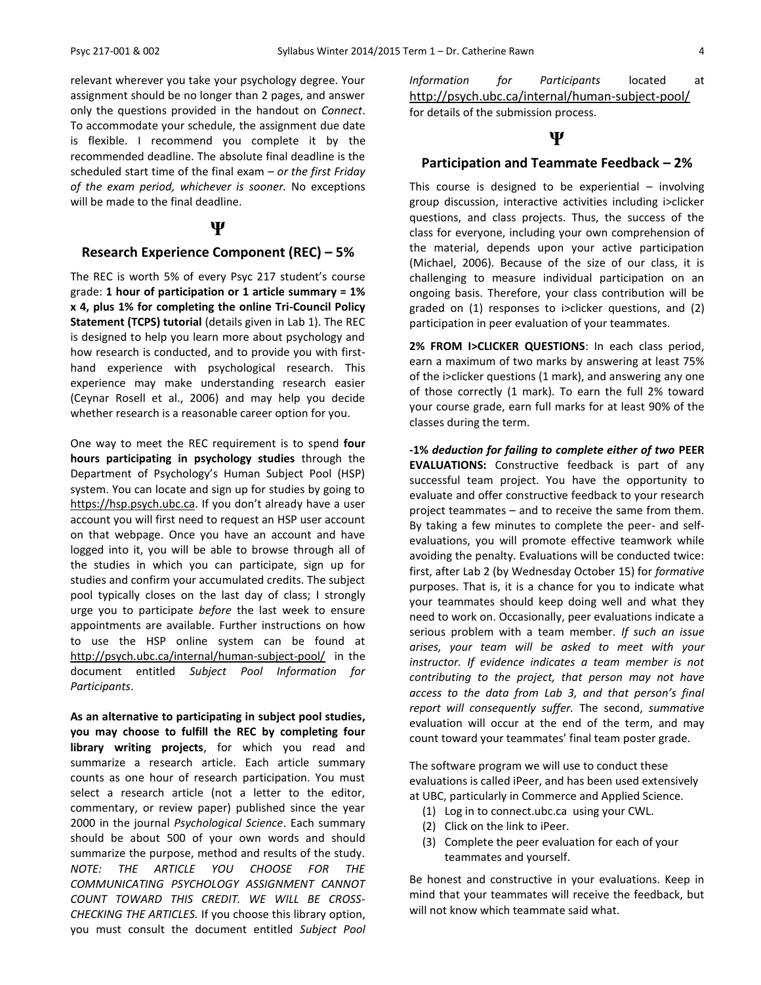relevant wherever you take your psychology degree. Your assignment should be no longer than 2 pages, and answer only the questions provided in the handout on *Connect*. To accommodate your schedule, the assignment due date is flexible. I recommend you complete it by the recommended deadline. The absolute final deadline is the scheduled start time of the final exam – *or the first Friday of the exam period, whichever is sooner.* No exceptions will be made to the final deadline.

### **Ψ**

#### **Research Experience Component (REC) – 5%**

The REC is worth 5% of every Psyc 217 student's course grade: **1 hour of participation or 1 article summary = 1% x 4, plus 1% for completing the online Tri-Council Policy Statement (TCPS) tutorial** (details given in Lab 1). The REC is designed to help you learn more about psychology and how research is conducted, and to provide you with firsthand experience with psychological research. This experience may make understanding research easier (Ceynar Rosell et al., 2006) and may help you decide whether research is a reasonable career option for you.

One way to meet the REC requirement is to spend **four hours participating in psychology studies** through the Department of Psychology's Human Subject Pool (HSP) system. You can locate and sign up for studies by going to [https://hsp.psych.ubc.ca](https://hsp.psych.ubc.ca/). If you don't already have a user account you will first need to request an HSP user account on that webpage. Once you have an account and have logged into it, you will be able to browse through all of the studies in which you can participate, sign up for studies and confirm your accumulated credits. The subject pool typically closes on the last day of class; I strongly urge you to participate *before* the last week to ensure appointments are available. Further instructions on how to use the HSP online system can be found at <http://psych.ubc.ca/internal/human-subject-pool/> in the document entitled *Subject Pool Information for Participants*.

**As an alternative to participating in subject pool studies, you may choose to fulfill the REC by completing four library writing projects**, for which you read and summarize a research article. Each article summary counts as one hour of research participation. You must select a research article (not a letter to the editor, commentary, or review paper) published since the year 2000 in the journal *Psychological Science*. Each summary should be about 500 of your own words and should summarize the purpose, method and results of the study. *NOTE: THE ARTICLE YOU CHOOSE FOR THE COMMUNICATING PSYCHOLOGY ASSIGNMENT CANNOT COUNT TOWARD THIS CREDIT. WE WILL BE CROSS-CHECKING THE ARTICLES.* If you choose this library option, you must consult the document entitled *Subject Pool*  *Information for Participants* located at <http://psych.ubc.ca/internal/human-subject-pool/> for details of the submission process.

#### **Ψ**

#### **Participation and Teammate Feedback – 2%**

This course is designed to be experiential  $-$  involving group discussion, interactive activities including i>clicker questions, and class projects. Thus, the success of the class for everyone, including your own comprehension of the material, depends upon your active participation (Michael, 2006). Because of the size of our class, it is challenging to measure individual participation on an ongoing basis. Therefore, your class contribution will be graded on (1) responses to i>clicker questions, and (2) participation in peer evaluation of your teammates.

**2% FROM I>CLICKER QUESTIONS**: In each class period, earn a maximum of two marks by answering at least 75% of the i>clicker questions (1 mark), and answering any one of those correctly (1 mark). To earn the full 2% toward your course grade, earn full marks for at least 90% of the classes during the term.

**-1%** *deduction for failing to complete either of two* **PEER EVALUATIONS:** Constructive feedback is part of any successful team project. You have the opportunity to evaluate and offer constructive feedback to your research project teammates – and to receive the same from them. By taking a few minutes to complete the peer- and selfevaluations, you will promote effective teamwork while avoiding the penalty. Evaluations will be conducted twice: first, after Lab 2 (by Wednesday October 15) for *formative* purposes. That is, it is a chance for you to indicate what your teammates should keep doing well and what they need to work on. Occasionally, peer evaluations indicate a serious problem with a team member. *If such an issue arises, your team will be asked to meet with your instructor. If evidence indicates a team member is not contributing to the project, that person may not have access to the data from Lab 3, and that person's final report will consequently suffer.* The second, *summative* evaluation will occur at the end of the term, and may count toward your teammates' final team poster grade.

The software program we will use to conduct these evaluations is called iPeer, and has been used extensively at UBC, particularly in Commerce and Applied Science.

- (1) Log in to connect.ubc.ca using your CWL.
- (2) Click on the link to iPeer.
- (3) Complete the peer evaluation for each of your teammates and yourself.

Be honest and constructive in your evaluations. Keep in mind that your teammates will receive the feedback, but will not know which teammate said what.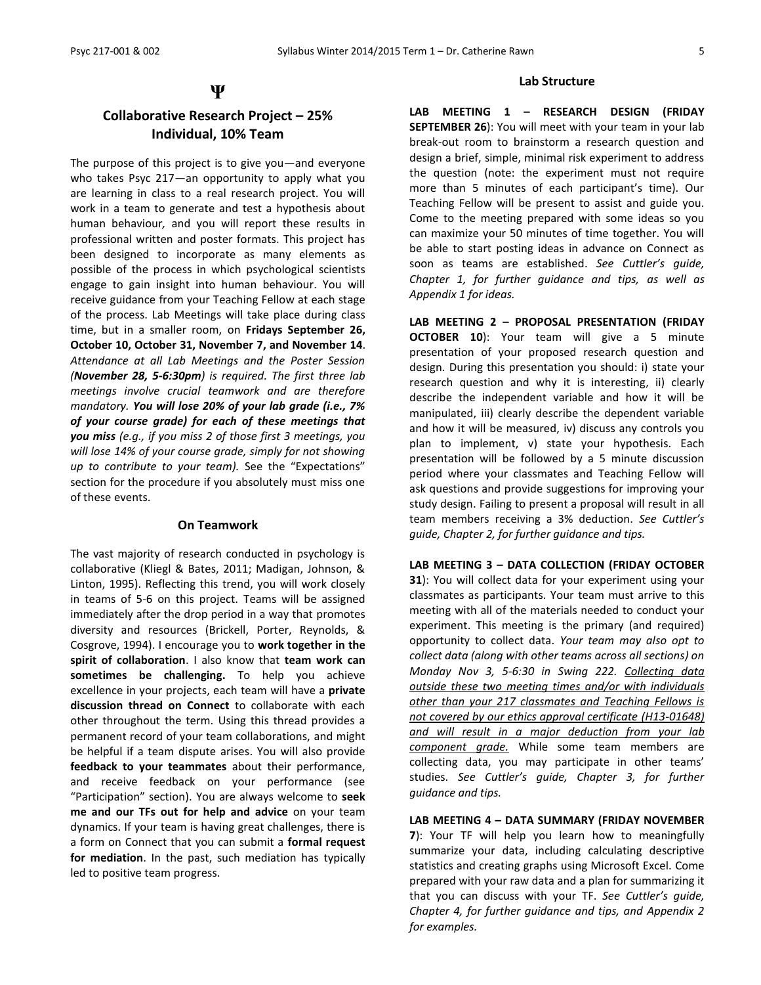#### **Ψ**

### **Collaborative Research Project – 25% Individual, 10% Team**

The purpose of this project is to give you—and everyone who takes Psyc 217—an opportunity to apply what you are learning in class to a real research project. You will work in a team to generate and test a hypothesis about human behaviour*,* and you will report these results in professional written and poster formats. This project has been designed to incorporate as many elements as possible of the process in which psychological scientists engage to gain insight into human behaviour. You will receive guidance from your Teaching Fellow at each stage of the process. Lab Meetings will take place during class time, but in a smaller room, on **Fridays September 26, October 10, October 31, November 7, and November 14**. *Attendance at all Lab Meetings and the Poster Session (November 28, 5-6:30pm) is required. The first three lab meetings involve crucial teamwork and are therefore mandatory. You will lose 20% of your lab grade (i.e., 7% of your course grade) for each of these meetings that you miss (e.g., if you miss 2 of those first 3 meetings, you will lose 14% of your course grade, simply for not showing up to contribute to your team).* See the "Expectations" section for the procedure if you absolutely must miss one of these events.

#### **On Teamwork**

The vast majority of research conducted in psychology is collaborative (Kliegl & Bates, 2011; Madigan, Johnson, & Linton, 1995). Reflecting this trend, you will work closely in teams of 5-6 on this project. Teams will be assigned immediately after the drop period in a way that promotes diversity and resources (Brickell, Porter, Reynolds, & Cosgrove, 1994). I encourage you to **work together in the spirit of collaboration**. I also know that **team work can sometimes be challenging.** To help you achieve excellence in your projects, each team will have a **private discussion thread on Connect** to collaborate with each other throughout the term. Using this thread provides a permanent record of your team collaborations, and might be helpful if a team dispute arises. You will also provide **feedback to your teammates** about their performance, and receive feedback on your performance (see "Participation" section). You are always welcome to **seek me and our TFs out for help and advice** on your team dynamics. If your team is having great challenges, there is a form on Connect that you can submit a **formal request for mediation**. In the past, such mediation has typically led to positive team progress.

#### **Lab Structure**

**LAB MEETING 1 – RESEARCH DESIGN (FRIDAY SEPTEMBER 26**): You will meet with your team in your lab break-out room to brainstorm a research question and design a brief, simple, minimal risk experiment to address the question (note: the experiment must not require more than 5 minutes of each participant's time). Our Teaching Fellow will be present to assist and guide you. Come to the meeting prepared with some ideas so you can maximize your 50 minutes of time together. You will be able to start posting ideas in advance on Connect as soon as teams are established. *See Cuttler's guide, Chapter 1, for further guidance and tips, as well as Appendix 1 for ideas.*

**LAB MEETING 2 – PROPOSAL PRESENTATION (FRIDAY OCTOBER 10**): Your team will give a 5 minute presentation of your proposed research question and design. During this presentation you should: i) state your research question and why it is interesting, ii) clearly describe the independent variable and how it will be manipulated, iii) clearly describe the dependent variable and how it will be measured, iv) discuss any controls you plan to implement, v) state your hypothesis. Each presentation will be followed by a 5 minute discussion period where your classmates and Teaching Fellow will ask questions and provide suggestions for improving your study design. Failing to present a proposal will result in all team members receiving a 3% deduction. *See Cuttler's guide, Chapter 2, for further guidance and tips.*

#### **LAB MEETING 3 – DATA COLLECTION (FRIDAY OCTOBER**

**31**): You will collect data for your experiment using your classmates as participants. Your team must arrive to this meeting with all of the materials needed to conduct your experiment. This meeting is the primary (and required) opportunity to collect data. *Your team may also opt to collect data (along with other teams across all sections) on Monday Nov 3, 5-6:30 in Swing 222. Collecting data outside these two meeting times and/or with individuals other than your 217 classmates and Teaching Fellows is not covered by our ethics approval certificate (H13-01648) and will result in a major deduction from your lab component grade.* While some team members are collecting data, you may participate in other teams' studies. *See Cuttler's guide, Chapter 3, for further guidance and tips.*

**LAB MEETING 4 – DATA SUMMARY (FRIDAY NOVEMBER 7**): Your TF will help you learn how to meaningfully summarize your data, including calculating descriptive statistics and creating graphs using Microsoft Excel. Come prepared with your raw data and a plan for summarizing it that you can discuss with your TF. *See Cuttler's guide, Chapter 4, for further guidance and tips, and Appendix 2 for examples.*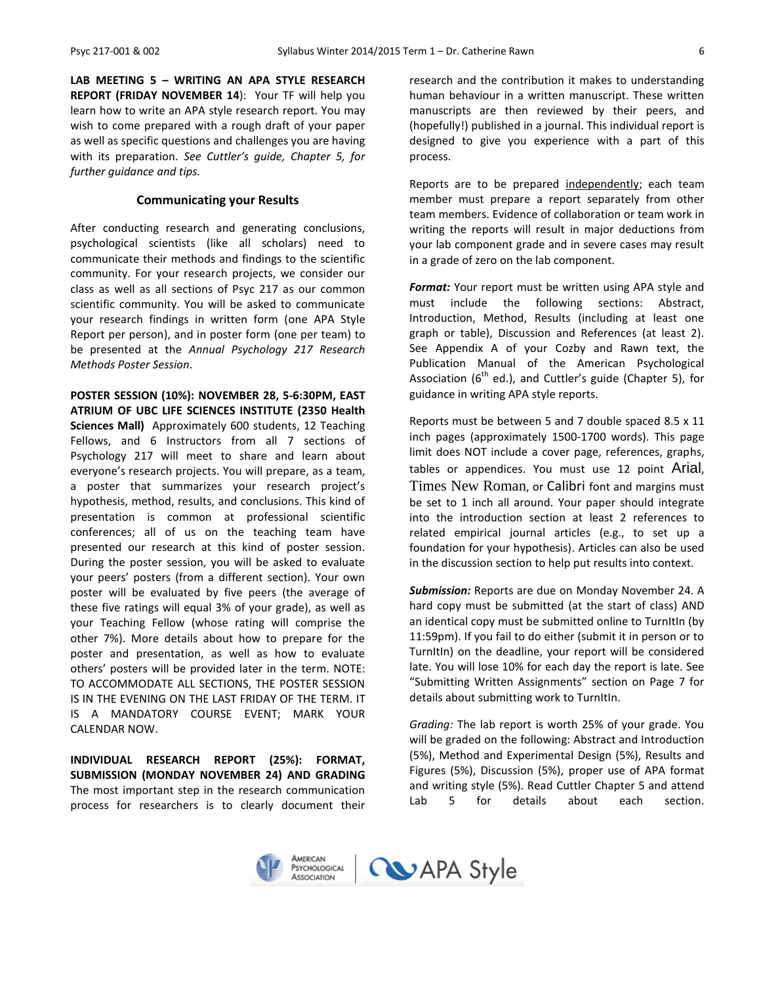**LAB MEETING 5 – WRITING AN APA STYLE RESEARCH REPORT (FRIDAY NOVEMBER 14**): Your TF will help you learn how to write an APA style research report. You may wish to come prepared with a rough draft of your paper as well as specific questions and challenges you are having with its preparation. *See Cuttler's guide, Chapter 5, for further guidance and tips.*

#### **Communicating your Results**

After conducting research and generating conclusions, psychological scientists (like all scholars) need to communicate their methods and findings to the scientific community. For your research projects, we consider our class as well as all sections of Psyc 217 as our common scientific community. You will be asked to communicate your research findings in written form (one APA Style Report per person), and in poster form (one per team) to be presented at the *Annual Psychology 217 Research Methods Poster Session*.

**POSTER SESSION (10%): NOVEMBER 28, 5-6:30PM, EAST ATRIUM OF UBC LIFE SCIENCES INSTITUTE (2350 Health Sciences Mall)** Approximately 600 students, 12 Teaching Fellows, and 6 Instructors from all 7 sections of Psychology 217 will meet to share and learn about everyone's research projects. You will prepare, as a team, a poster that summarizes your research project's hypothesis, method, results, and conclusions. This kind of presentation is common at professional scientific conferences; all of us on the teaching team have presented our research at this kind of poster session. During the poster session, you will be asked to evaluate your peers' posters (from a different section). Your own poster will be evaluated by five peers (the average of these five ratings will equal 3% of your grade), as well as your Teaching Fellow (whose rating will comprise the other 7%). More details about how to prepare for the poster and presentation, as well as how to evaluate others' posters will be provided later in the term. NOTE: TO ACCOMMODATE ALL SECTIONS, THE POSTER SESSION IS IN THE EVENING ON THE LAST FRIDAY OF THE TERM. IT IS A MANDATORY COURSE EVENT; MARK YOUR CALENDAR NOW.

**INDIVIDUAL RESEARCH REPORT (25%): FORMAT, SUBMISSION (MONDAY NOVEMBER 24) AND GRADING**  The most important step in the research communication process for researchers is to clearly document their research and the contribution it makes to understanding human behaviour in a written manuscript. These written manuscripts are then reviewed by their peers, and (hopefully!) published in a journal. This individual report is designed to give you experience with a part of this process.

Reports are to be prepared independently; each team member must prepare a report separately from other team members. Evidence of collaboration or team work in writing the reports will result in major deductions from your lab component grade and in severe cases may result in a grade of zero on the lab component.

*Format:* Your report must be written using APA style and must include the following sections: Abstract, Introduction, Method, Results (including at least one graph or table), Discussion and References (at least 2). See Appendix A of your Cozby and Rawn text, the Publication Manual of the American Psychological Association ( $6<sup>th</sup>$  ed.), and Cuttler's guide (Chapter 5), for guidance in writing APA style reports.

Reports must be between 5 and 7 double spaced 8.5 x 11 inch pages (approximately 1500-1700 words). This page limit does NOT include a cover page, references, graphs, tables or appendices. You must use 12 point Arial, Times New Roman, or Calibri font and margins must be set to 1 inch all around. Your paper should integrate into the introduction section at least 2 references to related empirical journal articles (e.g., to set up a foundation for your hypothesis). Articles can also be used in the discussion section to help put results into context.

*Submission:* Reports are due on Monday November 24. A hard copy must be submitted (at the start of class) AND an identical copy must be submitted online to TurnItIn (by 11:59pm). If you fail to do either (submit it in person or to TurnItIn) on the deadline, your report will be considered late. You will lose 10% for each day the report is late. See "Submitting Written Assignments" section on Page 7 for details about submitting work to TurnItIn.

*Grading:* The lab report is worth 25% of your grade. You will be graded on the following: Abstract and Introduction (5%), Method and Experimental Design (5%), Results and Figures (5%), Discussion (5%), proper use of APA format and writing style (5%). Read Cuttler Chapter 5 and attend Lab 5 for details about each section.

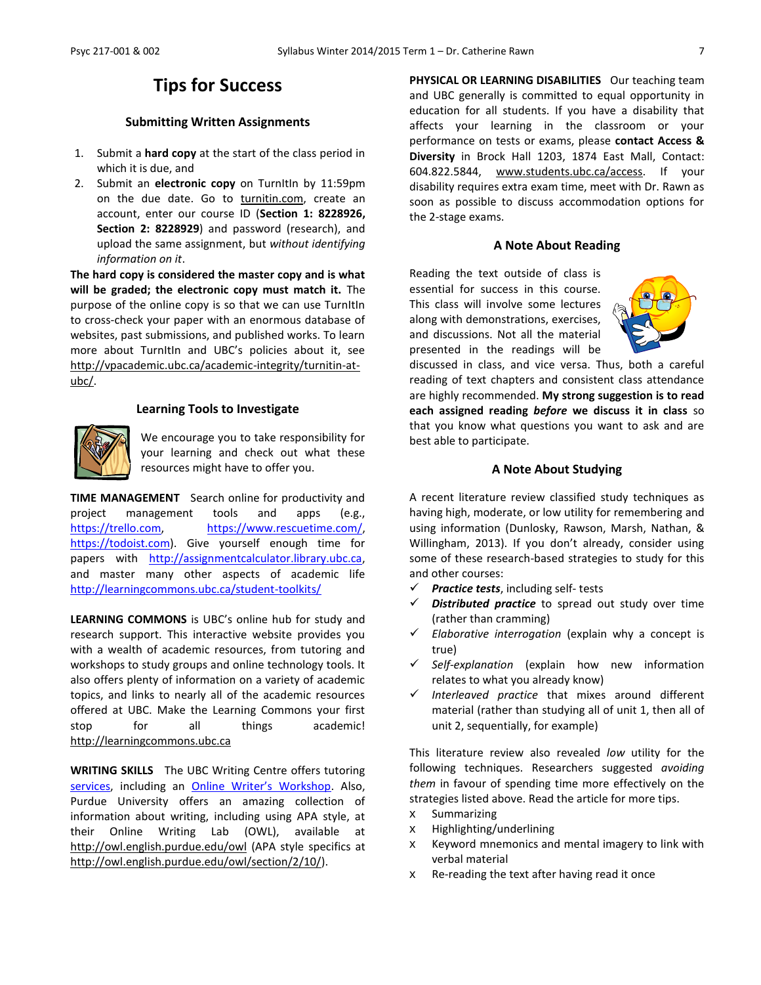### **Tips for Success**

#### **Submitting Written Assignments**

- 1. Submit a **hard copy** at the start of the class period in which it is due, and
- 2. Submit an **electronic copy** on TurnItIn by 11:59pm on the due date. Go to [turnitin.com,](http://turnitin.com/) create an account, enter our course ID (**Section 1: 8228926, Section 2: 8228929**) and password (research), and upload the same assignment, but *without identifying information on it*.

**The hard copy is considered the master copy and is what will be graded; the electronic copy must match it.** The purpose of the online copy is so that we can use TurnItIn to cross-check your paper with an enormous database of websites, past submissions, and published works. To learn more about TurnItIn and UBC's policies about it, see [http://vpacademic.ubc.ca/academic-integrity/turnitin-at](http://vpacademic.ubc.ca/academic-integrity/turnitin-at-ubc/)[ubc/.](http://vpacademic.ubc.ca/academic-integrity/turnitin-at-ubc/)

#### **Learning Tools to Investigate**



We encourage you to take responsibility for your learning and check out what these resources might have to offer you.

**TIME MANAGEMENT** Search online for productivity and project management tools and apps (e.g., [https://trello.com,](https://trello.com/) [https://www.rescuetime.com/,](https://www.rescuetime.com/) [https://todoist.com\)](https://todoist.com/). Give yourself enough time for papers with [http://assignmentcalculator.library.ubc.ca,](http://assignmentcalculator.library.ubc.ca/) and master many other aspects of academic life <http://learningcommons.ubc.ca/student-toolkits/>

**LEARNING COMMONS** is UBC's online hub for study and research support. This interactive website provides you with a wealth of academic resources, from tutoring and workshops to study groups and online technology tools. It also offers plenty of information on a variety of academic topics, and links to nearly all of the academic resources offered at UBC. Make the Learning Commons your first stop for all things academic! [http://learningcommons.ubc.ca](http://learningcommons.ubc.ca/)

**WRITING SKILLS** The UBC Writing Centre offers tutoring [services,](http://cstudies.ubc.ca/writing/resources.html) including an [Online Writer's Workshop](http://www.writingcentre.ubc.ca/workshop/index.html). Also, Purdue University offers an amazing collection of information about writing, including using APA style, at their Online Writing Lab (OWL), available at [http://owl.english.purdue.edu/owl](http://owl.english.purdue.edu/owl/) (APA style specifics at [http://owl.english.purdue.edu/owl/section/2/10/\)](http://owl.english.purdue.edu/owl/section/2/10/).

PHYSICAL OR LEARNING DISABILITIES Our teaching team and UBC generally is committed to equal opportunity in education for all students. If you have a disability that affects your learning in the classroom or your performance on tests or exams, please **contact Access & Diversity** in Brock Hall 1203, 1874 East Mall, Contact: 604.822.5844, [www.students.ubc.ca/access.](http://www.students.ubc.ca/access) If your disability requires extra exam time, meet with Dr. Rawn as soon as possible to discuss accommodation options for the 2-stage exams.

#### **A Note About Reading**

Reading the text outside of class is essential for success in this course. This class will involve some lectures along with demonstrations, exercises, and discussions. Not all the material presented in the readings will be



discussed in class, and vice versa. Thus, both a careful reading of text chapters and consistent class attendance are highly recommended. **My strong suggestion is to read each assigned reading** *before* **we discuss it in class** so that you know what questions you want to ask and are best able to participate.

#### **A Note About Studying**

A recent literature review classified study techniques as having high, moderate, or low utility for remembering and using information (Dunlosky, Rawson, Marsh, Nathan, & Willingham, 2013). If you don't already, consider using some of these research-based strategies to study for this and other courses:

- *Practice tests*, including self- tests
- *Distributed practice* to spread out study over time (rather than cramming)
- *Elaborative interrogation* (explain why a concept is true)
- *Self-explanation* (explain how new information relates to what you already know)
- *Interleaved practice* that mixes around different material (rather than studying all of unit 1, then all of unit 2, sequentially, for example)

This literature review also revealed *low* utility for the following techniques. Researchers suggested *avoiding them* in favour of spending time more effectively on the strategies listed above. Read the article for more tips.

- x Summarizing
- x Highlighting/underlining
- x Keyword mnemonics and mental imagery to link with verbal material
- x Re-reading the text after having read it once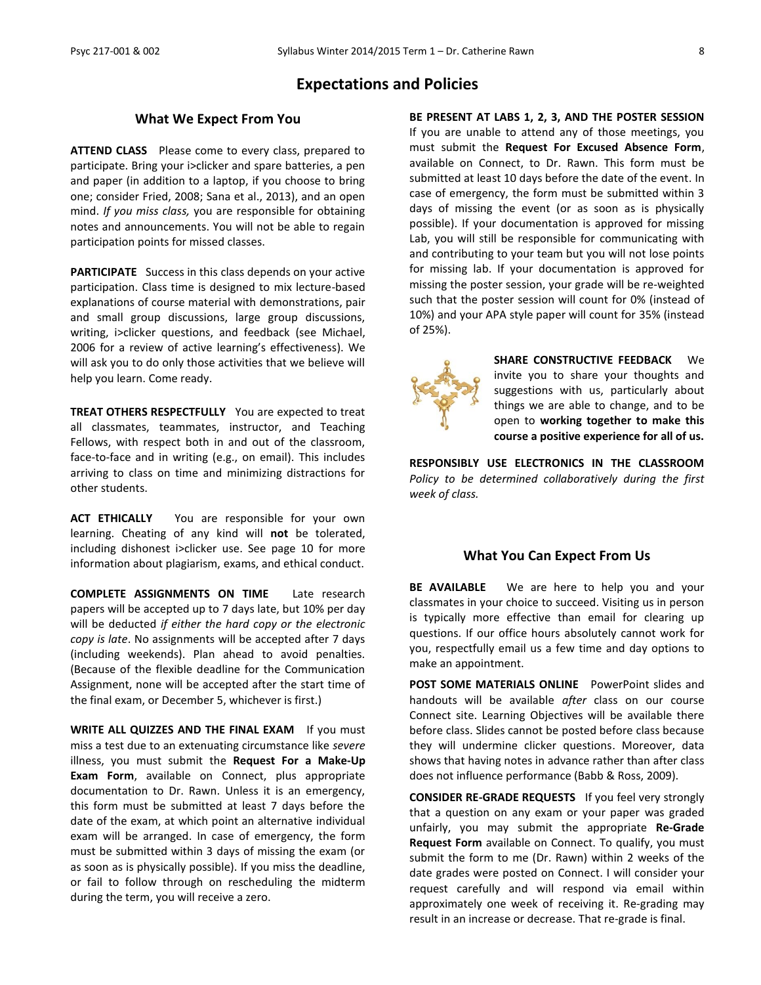#### **Expectations and Policies**

#### **What We Expect From You**

**ATTEND CLASS** Please come to every class, prepared to participate. Bring your i>clicker and spare batteries, a pen and paper (in addition to a laptop, if you choose to bring one; consider Fried, 2008; Sana et al., 2013), and an open mind. *If you miss class,* you are responsible for obtaining notes and announcements. You will not be able to regain participation points for missed classes.

**PARTICIPATE** Success in this class depends on your active participation. Class time is designed to mix lecture-based explanations of course material with demonstrations, pair and small group discussions, large group discussions, writing, i>clicker questions, and feedback (see Michael, 2006 for a review of active learning's effectiveness). We will ask you to do only those activities that we believe will help you learn. Come ready.

**TREAT OTHERS RESPECTFULLY** You are expected to treat all classmates, teammates, instructor, and Teaching Fellows, with respect both in and out of the classroom, face-to-face and in writing (e.g., on email). This includes arriving to class on time and minimizing distractions for other students.

**ACT ETHICALLY** You are responsible for your own learning. Cheating of any kind will **not** be tolerated, including dishonest i>clicker use. See page 10 for more information about plagiarism, exams, and ethical conduct.

**COMPLETE ASSIGNMENTS ON TIME** Late research papers will be accepted up to 7 days late, but 10% per day will be deducted *if either the hard copy or the electronic copy is late*. No assignments will be accepted after 7 days (including weekends). Plan ahead to avoid penalties. (Because of the flexible deadline for the Communication Assignment, none will be accepted after the start time of the final exam, or December 5, whichever is first.)

**WRITE ALL QUIZZES AND THE FINAL EXAM** If you must miss a test due to an extenuating circumstance like *severe* illness, you must submit the **Request For a Make-Up Exam Form**, available on Connect, plus appropriate documentation to Dr. Rawn. Unless it is an emergency, this form must be submitted at least 7 days before the date of the exam, at which point an alternative individual exam will be arranged. In case of emergency, the form must be submitted within 3 days of missing the exam (or as soon as is physically possible). If you miss the deadline, or fail to follow through on rescheduling the midterm during the term, you will receive a zero.

**BE PRESENT AT LABS 1, 2, 3, AND THE POSTER SESSION** If you are unable to attend any of those meetings, you must submit the **Request For Excused Absence Form**, available on Connect, to Dr. Rawn. This form must be submitted at least 10 days before the date of the event. In case of emergency, the form must be submitted within 3 days of missing the event (or as soon as is physically possible). If your documentation is approved for missing Lab, you will still be responsible for communicating with and contributing to your team but you will not lose points for missing lab. If your documentation is approved for missing the poster session, your grade will be re-weighted such that the poster session will count for 0% (instead of 10%) and your APA style paper will count for 35% (instead of 25%).



**SHARE CONSTRUCTIVE FEEDBACK** We invite you to share your thoughts and suggestions with us, particularly about things we are able to change, and to be open to **working together to make this course a positive experience for all of us.**

**RESPONSIBLY USE ELECTRONICS IN THE CLASSROOM** *Policy to be determined collaboratively during the first week of class.*

#### **What You Can Expect From Us**

**BE AVAILABLE** We are here to help you and your classmates in your choice to succeed. Visiting us in person is typically more effective than email for clearing up questions. If our office hours absolutely cannot work for you, respectfully email us a few time and day options to make an appointment.

**POST SOME MATERIALS ONLINE** PowerPoint slides and handouts will be available *after* class on our course Connect site. Learning Objectives will be available there before class. Slides cannot be posted before class because they will undermine clicker questions. Moreover, data shows that having notes in advance rather than after class does not influence performance (Babb & Ross, 2009).

**CONSIDER RE-GRADE REQUESTS** If you feel very strongly that a question on any exam or your paper was graded unfairly, you may submit the appropriate **Re-Grade Request Form** available on Connect. To qualify, you must submit the form to me (Dr. Rawn) within 2 weeks of the date grades were posted on Connect. I will consider your request carefully and will respond via email within approximately one week of receiving it. Re-grading may result in an increase or decrease. That re-grade is final.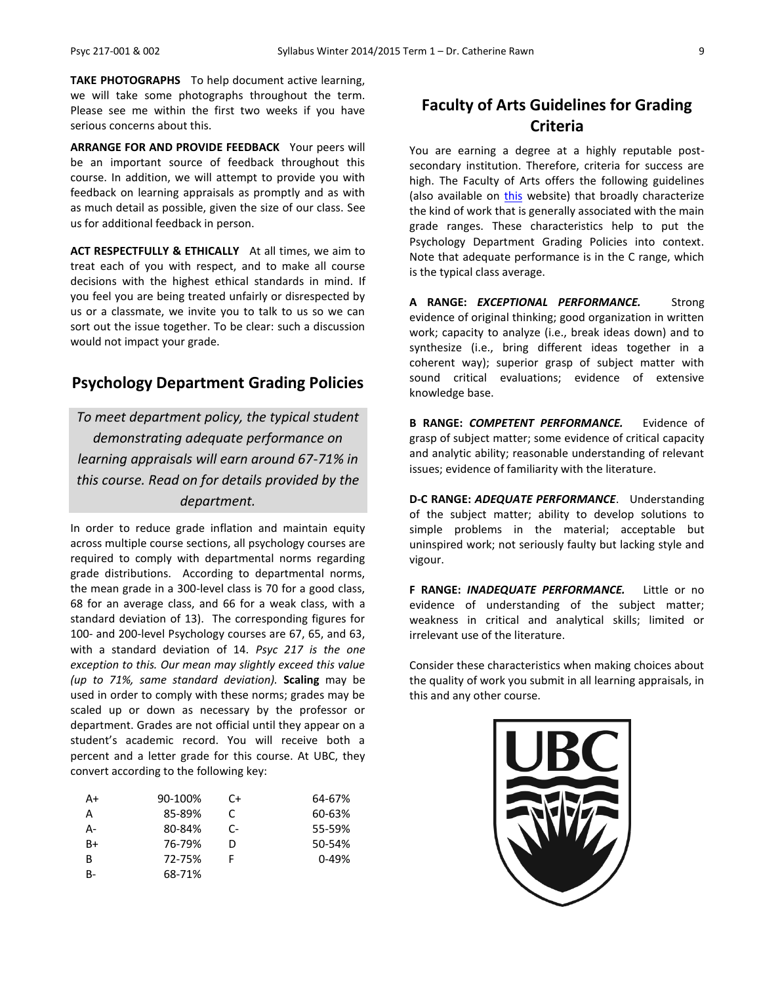**TAKE PHOTOGRAPHS** To help document active learning, we will take some photographs throughout the term. Please see me within the first two weeks if you have serious concerns about this.

**ARRANGE FOR AND PROVIDE FEEDBACK** Your peers will be an important source of feedback throughout this course. In addition, we will attempt to provide you with feedback on learning appraisals as promptly and as with as much detail as possible, given the size of our class. See us for additional feedback in person.

**ACT RESPECTFULLY & ETHICALLY** At all times, we aim to treat each of you with respect, and to make all course decisions with the highest ethical standards in mind. If you feel you are being treated unfairly or disrespected by us or a classmate, we invite you to talk to us so we can sort out the issue together. To be clear: such a discussion would not impact your grade.

### **Psychology Department Grading Policies**

*To meet department policy, the typical student demonstrating adequate performance on learning appraisals will earn around 67-71% in this course. Read on for details provided by the department.*

In order to reduce grade inflation and maintain equity across multiple course sections, all psychology courses are required to comply with departmental norms regarding grade distributions. According to departmental norms, the mean grade in a 300-level class is 70 for a good class, 68 for an average class, and 66 for a weak class, with a standard deviation of 13). The corresponding figures for 100- and 200-level Psychology courses are 67, 65, and 63, with a standard deviation of 14. *Psyc 217 is the one exception to this. Our mean may slightly exceed this value (up to 71%, same standard deviation).* **Scaling** may be used in order to comply with these norms; grades may be scaled up or down as necessary by the professor or department. Grades are not official until they appear on a student's academic record. You will receive both a percent and a letter grade for this course. At UBC, they convert according to the following key:

| A+        | 90-100% | C+   | 64-67%    |
|-----------|---------|------|-----------|
| А         | 85-89%  | C    | 60-63%    |
| А-        | 80-84%  | $C-$ | 55-59%    |
| B+        | 76-79%  | D    | 50-54%    |
| B         | 72-75%  |      | $0 - 49%$ |
| <b>B-</b> | 68-71%  |      |           |

### **Faculty of Arts Guidelines for Grading Criteria**

You are earning a degree at a highly reputable postsecondary institution. Therefore, criteria for success are high. The Faculty of Arts offers the following guidelines (also available on [this](http://legacy.arts.ubc.ca/faculty-amp-staff/resources/courses-and-grading/grading-guidelines.html) website) that broadly characterize the kind of work that is generally associated with the main grade ranges. These characteristics help to put the Psychology Department Grading Policies into context. Note that adequate performance is in the C range, which is the typical class average.

**A RANGE:** *EXCEPTIONAL PERFORMANCE.* Strong evidence of original thinking; good organization in written work; capacity to analyze (i.e., break ideas down) and to synthesize (i.e., bring different ideas together in a coherent way); superior grasp of subject matter with sound critical evaluations; evidence of extensive knowledge base.

**B RANGE:** *COMPETENT PERFORMANCE.* Evidence of grasp of subject matter; some evidence of critical capacity and analytic ability; reasonable understanding of relevant issues; evidence of familiarity with the literature.

**D-C RANGE:** *ADEQUATE PERFORMANCE*. Understanding of the subject matter; ability to develop solutions to simple problems in the material; acceptable but uninspired work; not seriously faulty but lacking style and vigour.

**F RANGE:** *INADEQUATE PERFORMANCE.* Little or no evidence of understanding of the subject matter; weakness in critical and analytical skills; limited or irrelevant use of the literature.

Consider these characteristics when making choices about the quality of work you submit in all learning appraisals, in this and any other course.

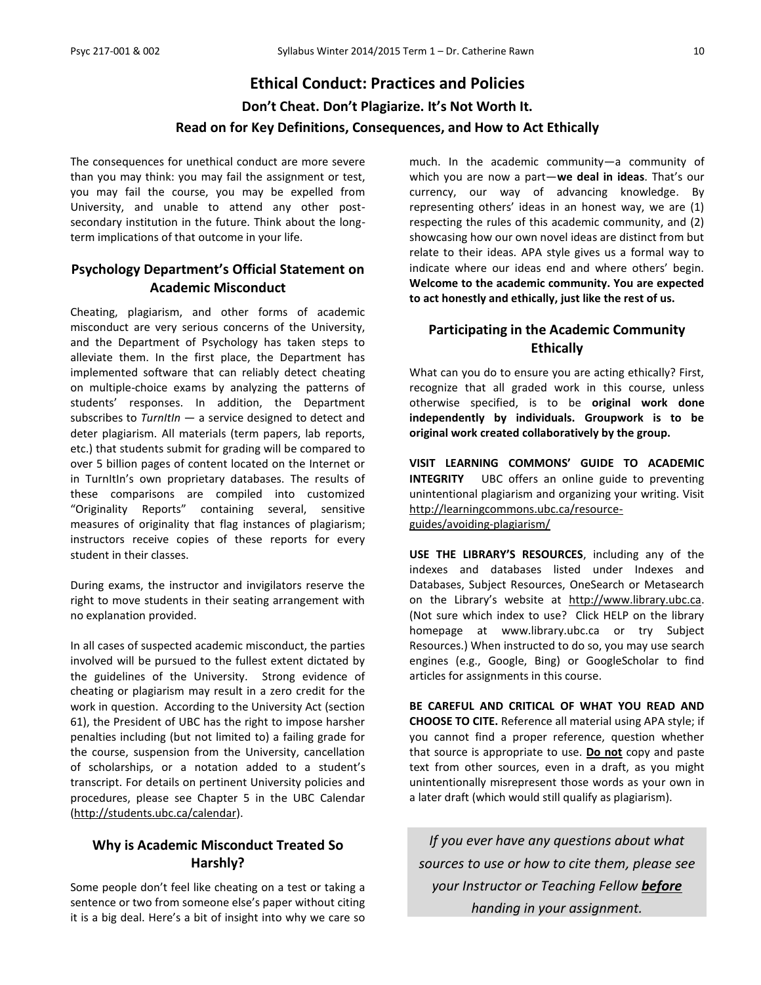## **Ethical Conduct: Practices and Policies Don't Cheat. Don't Plagiarize. It's Not Worth It. Read on for Key Definitions, Consequences, and How to Act Ethically**

The consequences for unethical conduct are more severe than you may think: you may fail the assignment or test, you may fail the course, you may be expelled from University, and unable to attend any other postsecondary institution in the future. Think about the longterm implications of that outcome in your life.

### **Psychology Department's Official Statement on Academic Misconduct**

Cheating, plagiarism, and other forms of academic misconduct are very serious concerns of the University, and the Department of Psychology has taken steps to alleviate them. In the first place, the Department has implemented software that can reliably detect cheating on multiple-choice exams by analyzing the patterns of students' responses. In addition, the Department subscribes to *TurnItIn* — a service designed to detect and deter plagiarism. All materials (term papers, lab reports, etc.) that students submit for grading will be compared to over 5 billion pages of content located on the Internet or in TurnItIn's own proprietary databases. The results of these comparisons are compiled into customized "Originality Reports" containing several, sensitive measures of originality that flag instances of plagiarism; instructors receive copies of these reports for every student in their classes.

During exams, the instructor and invigilators reserve the right to move students in their seating arrangement with no explanation provided.

In all cases of suspected academic misconduct, the parties involved will be pursued to the fullest extent dictated by the guidelines of the University. Strong evidence of cheating or plagiarism may result in a zero credit for the work in question. According to the University Act (section 61), the President of UBC has the right to impose harsher penalties including (but not limited to) a failing grade for the course, suspension from the University, cancellation of scholarships, or a notation added to a student's transcript. For details on pertinent University policies and procedures, please see Chapter 5 in the UBC Calendar [\(http://students.ubc.ca/calendar\)](http://students.ubc.ca/calendar).

#### **Why is Academic Misconduct Treated So Harshly?**

Some people don't feel like cheating on a test or taking a sentence or two from someone else's paper without citing it is a big deal. Here's a bit of insight into why we care so

much. In the academic community—a community of which you are now a part—**we deal in ideas**. That's our currency, our way of advancing knowledge. By representing others' ideas in an honest way, we are (1) respecting the rules of this academic community, and (2) showcasing how our own novel ideas are distinct from but relate to their ideas. APA style gives us a formal way to indicate where our ideas end and where others' begin. **Welcome to the academic community. You are expected to act honestly and ethically, just like the rest of us.**

### **Participating in the Academic Community Ethically**

What can you do to ensure you are acting ethically? First, recognize that all graded work in this course, unless otherwise specified, is to be **original work done independently by individuals. Groupwork is to be original work created collaboratively by the group.**

**VISIT LEARNING COMMONS' GUIDE TO ACADEMIC INTEGRITY** UBC offers an online guide to preventing unintentional plagiarism and organizing your writing. Visit [http://learningcommons.ubc.ca/resource](http://learningcommons.ubc.ca/resource-guides/avoiding-plagiarism/)[guides/avoiding-plagiarism/](http://learningcommons.ubc.ca/resource-guides/avoiding-plagiarism/)

**USE THE LIBRARY'S RESOURCES**, including any of the indexes and databases listed under Indexes and Databases, Subject Resources, OneSearch or Metasearch on the Library's website at [http://www.library.ubc.ca.](http://www.library.ubc.ca/) (Not sure which index to use? Click HELP on the library homepage at www.library.ubc.ca or try Subject Resources.) When instructed to do so, you may use search engines (e.g., Google, Bing) or GoogleScholar to find articles for assignments in this course.

**BE CAREFUL AND CRITICAL OF WHAT YOU READ AND CHOOSE TO CITE.** Reference all material using APA style; if you cannot find a proper reference, question whether that source is appropriate to use. **Do not** copy and paste text from other sources, even in a draft, as you might unintentionally misrepresent those words as your own in a later draft (which would still qualify as plagiarism).

*If you ever have any questions about what sources to use or how to cite them, please see your Instructor or Teaching Fellow before handing in your assignment.*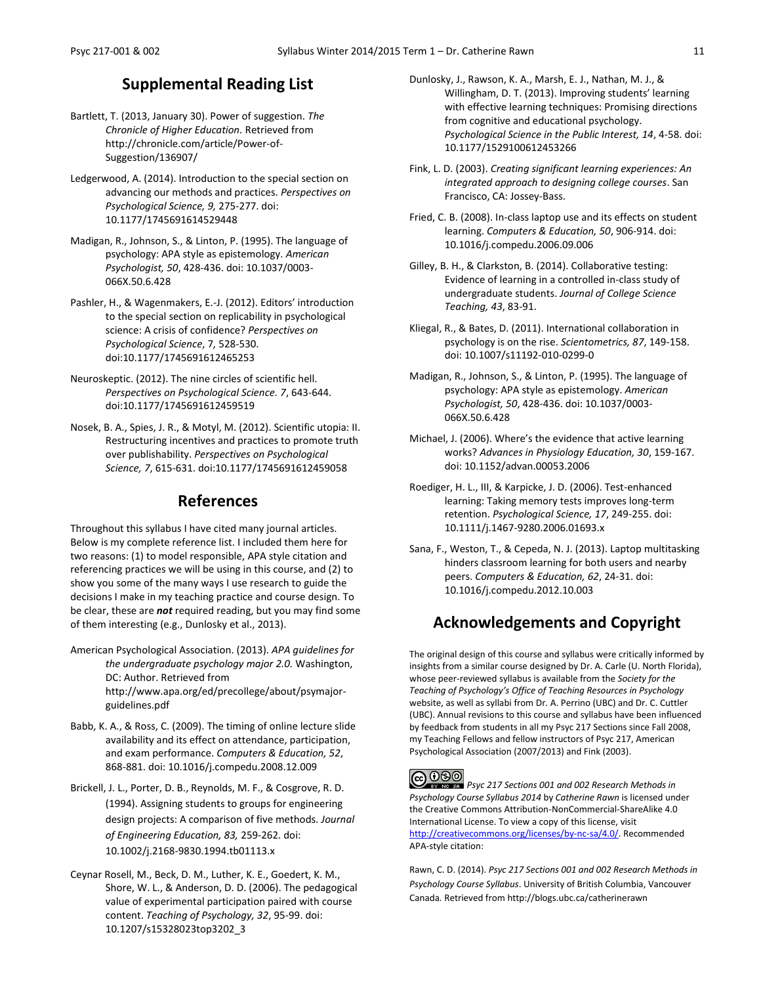### **Supplemental Reading List**

- Bartlett, T. (2013, January 30). Power of suggestion. *The Chronicle of Higher Education.* Retrieved from http://chronicle.com/article/Power-of-Suggestion/136907/
- Ledgerwood, A. (2014). Introduction to the special section on advancing our methods and practices. *Perspectives on Psychological Science, 9,* 275-277. doi: 10.1177/1745691614529448
- Madigan, R., Johnson, S., & Linton, P. (1995). The language of psychology: APA style as epistemology. *American Psychologist, 50*, 428-436. doi: 10.1037/0003- 066X.50.6.428
- Pashler, H., & Wagenmakers, E.-J. (2012). Editors' introduction to the special section on replicability in psychological science: A crisis of confidence? *Perspectives on Psychological Science*, 7*,* 528-530. doi:10.1177/1745691612465253
- Neuroskeptic. (2012). The nine circles of scientific hell. *Perspectives on Psychological Science. 7*, 643-644. doi:10.1177/1745691612459519
- Nosek, B. A., Spies, J. R., & Motyl, M. (2012). Scientific utopia: II. Restructuring incentives and practices to promote truth over publishability. *Perspectives on Psychological Science, 7*, 615-631. doi:10.1177/1745691612459058

### **References**

Throughout this syllabus I have cited many journal articles. Below is my complete reference list. I included them here for two reasons: (1) to model responsible, APA style citation and referencing practices we will be using in this course, and (2) to show you some of the many ways I use research to guide the decisions I make in my teaching practice and course design. To be clear, these are *not* required reading, but you may find some of them interesting (e.g., Dunlosky et al., 2013).

- American Psychological Association. (2013). *APA guidelines for the undergraduate psychology major 2.0.* Washington, DC: Author. Retrieved from http://www.apa.org/ed/precollege/about/psymajorguidelines.pdf
- Babb, K. A., & Ross, C. (2009). The timing of online lecture slide availability and its effect on attendance, participation, and exam performance. *Computers & Education, 52*, 868-881. doi: 10.1016/j.compedu.2008.12.009
- Brickell, J. L., Porter, D. B., Reynolds, M. F., & Cosgrove, R. D. (1994). Assigning students to groups for engineering design projects: A comparison of five methods. *Journal of Engineering Education, 83,* 259-262. doi: 10.1002/j.2168-9830.1994.tb01113.x
- Ceynar Rosell, M., Beck, D. M., Luther, K. E., Goedert, K. M., Shore, W. L., & Anderson, D. D. (2006). The pedagogical value of experimental participation paired with course content. *Teaching of Psychology, 32*, 95-99. doi: 10.1207/s15328023top3202\_3
- Dunlosky, J., Rawson, K. A., Marsh, E. J., Nathan, M. J., & Willingham, D. T. (2013). Improving students' learning with effective learning techniques: Promising directions from cognitive and educational psychology. *Psychological Science in the Public Interest, 14*, 4-58. doi: 10.1177/1529100612453266
- Fink, L. D. (2003). *Creating significant learning experiences: An integrated approach to designing college courses*. San Francisco, CA: Jossey-Bass.
- Fried, C. B. (2008). In-class laptop use and its effects on student learning. *Computers & Education, 50*, 906-914. doi: 10.1016/j.compedu.2006.09.006
- Gilley, B. H., & Clarkston, B. (2014). Collaborative testing: Evidence of learning in a controlled in-class study of undergraduate students. *Journal of College Science Teaching, 43*, 83-91.
- Kliegal, R., & Bates, D. (2011). International collaboration in psychology is on the rise. *Scientometrics, 87*, 149-158. doi: 10.1007/s11192-010-0299-0
- Madigan, R., Johnson, S., & Linton, P. (1995). The language of psychology: APA style as epistemology. *American Psychologist, 50*, 428-436. doi: 10.1037/0003- 066X.50.6.428
- Michael, J. (2006). Where's the evidence that active learning works? *Advances in Physiology Education, 30*, 159-167. doi: 10.1152/advan.00053.2006
- Roediger, H. L., III, & Karpicke, J. D. (2006). Test-enhanced learning: Taking memory tests improves long-term retention. *Psychological Science, 17*, 249-255. doi: 10.1111/j.1467-9280.2006.01693.x
- Sana, F., Weston, T., & Cepeda, N. J. (2013). Laptop multitasking hinders classroom learning for both users and nearby peers. *Computers & Education, 62*, 24-31. doi: 10.1016/j.compedu.2012.10.003

### **Acknowledgements and Copyright**

The original design of this course and syllabus were critically informed by insights from a similar course designed by Dr. A. Carle (U. North Florida), whose peer-reviewed syllabus is available from the *Society for the Teaching of Psychology's Office of Teaching Resources in Psychology* website, as well as syllabi from Dr. A. Perrino (UBC) and Dr. C. Cuttler (UBC). Annual revisions to this course and syllabus have been influenced by feedback from students in all my Psyc 217 Sections since Fall 2008, my Teaching Fellows and fellow instructors of Psyc 217, American Psychological Association (2007/2013) and Fink (2003).

### <u>(෬ ඁ෧෧</u>

*Psyc 217 Sections 001 and 002 Research Methods in Psychology Course Syllabus 2014* by *Catherine Rawn* is licensed under the Creative Commons Attribution-NonCommercial-ShareAlike 4.0 International License. To view a copy of this license, visit [http://creativecommons.org/licenses/by-nc-sa/4.0/.](http://creativecommons.org/licenses/by-nc-sa/4.0/) Recommended APA-style citation:

Rawn, C. D. (2014). *Psyc 217 Sections 001 and 002 Research Methods in Psychology Course Syllabus*. University of British Columbia, Vancouver Canada*.* Retrieved from http://blogs.ubc.ca/catherinerawn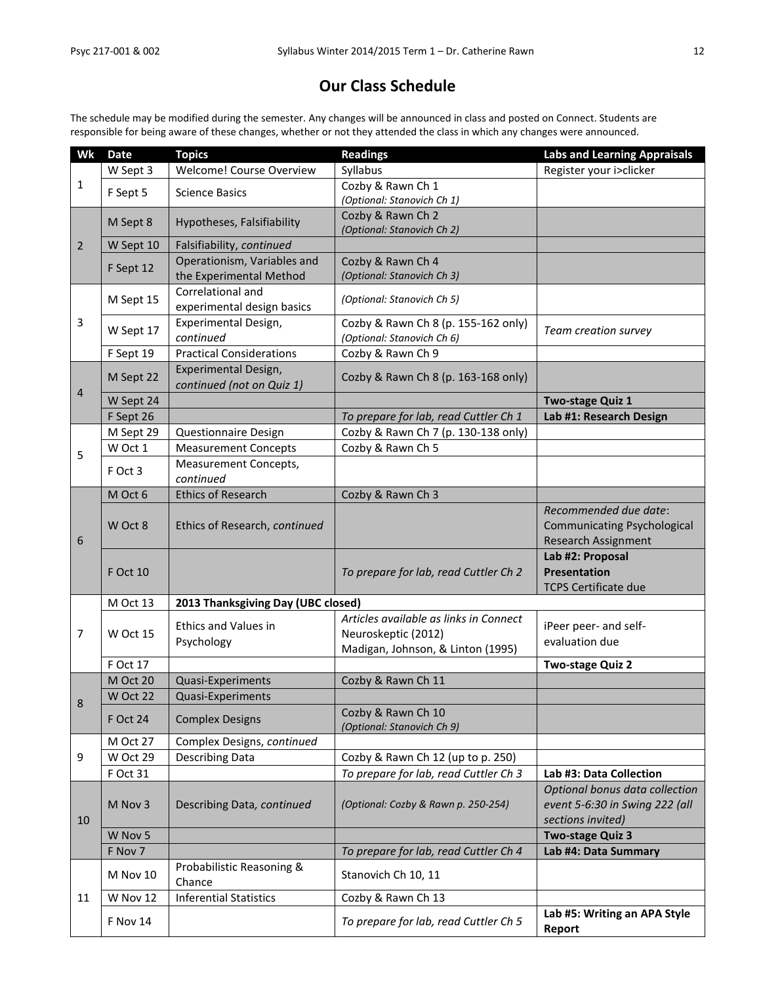### **Our Class Schedule**

The schedule may be modified during the semester. Any changes will be announced in class and posted on Connect. Students are responsible for being aware of these changes, whether or not they attended the class in which any changes were announced.

| Wk | <b>Date</b>     | <b>Topics</b>                                     | <b>Readings</b>                                                                                    | <b>Labs and Learning Appraisals</b>                                                       |
|----|-----------------|---------------------------------------------------|----------------------------------------------------------------------------------------------------|-------------------------------------------------------------------------------------------|
|    | W Sept 3        | <b>Welcome! Course Overview</b>                   | Syllabus                                                                                           | Register your i>clicker                                                                   |
| 1  | F Sept 5        | <b>Science Basics</b>                             | Cozby & Rawn Ch 1<br>(Optional: Stanovich Ch 1)                                                    |                                                                                           |
|    | M Sept 8        | Hypotheses, Falsifiability                        | Cozby & Rawn Ch 2<br>(Optional: Stanovich Ch 2)                                                    |                                                                                           |
| 2  | W Sept 10       | Falsifiability, continued                         |                                                                                                    |                                                                                           |
|    |                 | Operationism, Variables and                       | Cozby & Rawn Ch 4                                                                                  |                                                                                           |
|    | F Sept 12       | the Experimental Method                           | (Optional: Stanovich Ch 3)                                                                         |                                                                                           |
| 3  | M Sept 15       | Correlational and<br>experimental design basics   | (Optional: Stanovich Ch 5)                                                                         |                                                                                           |
|    | W Sept 17       | Experimental Design,<br>continued                 | Cozby & Rawn Ch 8 (p. 155-162 only)<br>(Optional: Stanovich Ch 6)                                  | Team creation survey                                                                      |
|    | F Sept 19       | <b>Practical Considerations</b>                   | Cozby & Rawn Ch 9                                                                                  |                                                                                           |
|    | M Sept 22       | Experimental Design,<br>continued (not on Quiz 1) | Cozby & Rawn Ch 8 (p. 163-168 only)                                                                |                                                                                           |
| 4  | W Sept 24       |                                                   |                                                                                                    | Two-stage Quiz 1                                                                          |
|    | F Sept 26       |                                                   | To prepare for lab, read Cuttler Ch 1                                                              | Lab #1: Research Design                                                                   |
|    | M Sept 29       | Questionnaire Design                              | Cozby & Rawn Ch 7 (p. 130-138 only)                                                                |                                                                                           |
| 5  | W Oct 1         | <b>Measurement Concepts</b>                       | Cozby & Rawn Ch 5                                                                                  |                                                                                           |
|    | F Oct 3         | Measurement Concepts,<br>continued                |                                                                                                    |                                                                                           |
| 6  | M Oct 6         | <b>Ethics of Research</b>                         | Cozby & Rawn Ch 3                                                                                  |                                                                                           |
|    | W Oct 8         | Ethics of Research, continued                     |                                                                                                    | Recommended due date:<br><b>Communicating Psychological</b><br><b>Research Assignment</b> |
|    | <b>F Oct 10</b> |                                                   | To prepare for lab, read Cuttler Ch 2                                                              | Lab #2: Proposal<br><b>Presentation</b><br><b>TCPS Certificate due</b>                    |
|    | M Oct 13        | 2013 Thanksgiving Day (UBC closed)                |                                                                                                    |                                                                                           |
| 7  | W Oct 15        | <b>Ethics and Values in</b><br>Psychology         | Articles available as links in Connect<br>Neuroskeptic (2012)<br>Madigan, Johnson, & Linton (1995) | iPeer peer- and self-<br>evaluation due                                                   |
|    | F Oct 17        |                                                   |                                                                                                    | Two-stage Quiz 2                                                                          |
|    | M Oct 20        | Quasi-Experiments                                 | Cozby & Rawn Ch 11                                                                                 |                                                                                           |
|    | W Oct 22        | Quasi-Experiments                                 |                                                                                                    |                                                                                           |
| 8  | F Oct 24        | <b>Complex Designs</b>                            | Cozby & Rawn Ch 10<br>(Optional: Stanovich Ch 9)                                                   |                                                                                           |
|    | M Oct 27        | Complex Designs, continued                        |                                                                                                    |                                                                                           |
| 9  | W Oct 29        | Describing Data                                   | Cozby & Rawn Ch 12 (up to p. 250)                                                                  |                                                                                           |
|    | F Oct 31        |                                                   | To prepare for lab, read Cuttler Ch 3                                                              | Lab #3: Data Collection                                                                   |
| 10 | M Nov 3         | Describing Data, continued                        | (Optional: Cozby & Rawn p. 250-254)                                                                | Optional bonus data collection<br>event 5-6:30 in Swing 222 (all<br>sections invited)     |
|    | W Nov 5         |                                                   |                                                                                                    | Two-stage Quiz 3                                                                          |
|    | F Nov 7         |                                                   | To prepare for lab, read Cuttler Ch 4                                                              | Lab #4: Data Summary                                                                      |
| 11 | M Nov 10        | Probabilistic Reasoning &<br>Chance               | Stanovich Ch 10, 11                                                                                |                                                                                           |
|    | W Nov 12        | <b>Inferential Statistics</b>                     | Cozby & Rawn Ch 13                                                                                 |                                                                                           |
|    | F Nov 14        |                                                   | To prepare for lab, read Cuttler Ch 5                                                              | Lab #5: Writing an APA Style<br>Report                                                    |